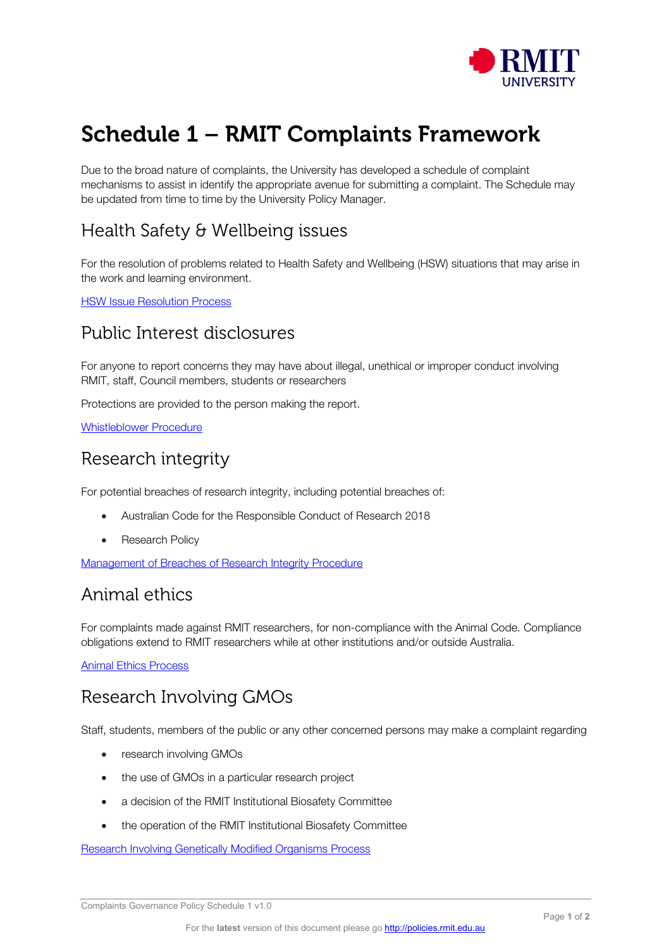

# Schedule 1 – RMIT Complaints Framework

Due to the broad nature of complaints, the University has developed a schedule of complaint mechanisms to assist in identify the appropriate avenue for submitting a complaint. The Schedule may be updated from time to time by the University Policy Manager.

# Health Safety & Wellbeing issues

For the resolution of problems related to Health Safety and Wellbeing (HSW) situations that may arise in the work and learning environment.

**[HSW Issue Resolution Process](https://au.promapp.com/rmituniversity/Process/Minimode/Permalink/F1FWF17jA0V6S0o3HQWy30)** 

#### Public Interest disclosures

For anyone to report concerns they may have about illegal, unethical or improper conduct involving RMIT, staff, Council members, students or researchers

Protections are provided to the person making the report.

[Whistleblower Procedure](https://policies.rmit.edu.au/document/view.php?id=48&version=1)

# Research integrity

For potential breaches of research integrity, including potential breaches of:

- Australian Code for the Responsible Conduct of Research 2018
- **Research Policy**

[Management of Breaches of Research Integrity Procedure](https://www.rmit.edu.au/about/governance-and-management/policies/research-policy/research-integrity-breach)

## Animal ethics

For complaints made against RMIT researchers, for non-compliance with the Animal Code. Compliance obligations extend to RMIT researchers while at other institutions and/or outside Australia.

[Animal Ethics Process](https://policies.rmit.edu.au/document/view.php?id=82&version=1)

# Research Involving GMOs

Staff, students, members of the public or any other concerned persons may make a complaint regarding

- research involving GMOs
- the use of GMOs in a particular research project
- a decision of the RMIT Institutional Biosafety Committee
- the operation of the RMIT Institutional Biosafety Committee

[Research Involving Genetically Modified Organisms Process](https://policies.rmit.edu.au/document/view.php?id=88&version=1)